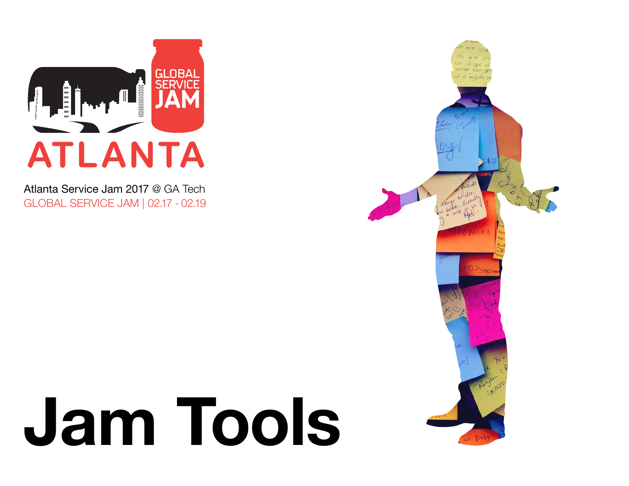

Atlanta Service Jam 2017 @ GA Tech GLOBAL SERVICE JAM | 02.17 - 02.19

## Jam Tools

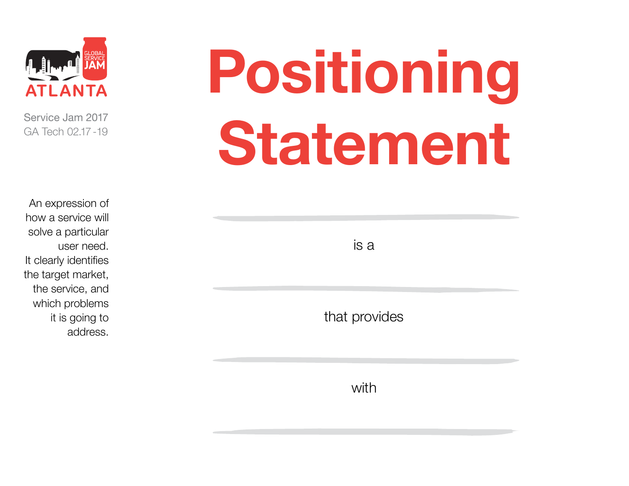

An expression of how a service will solve a particular user need. It clearly identifies the target market, the service, and which problems it is going to address.

## Positioning Statement

is a

that provides

with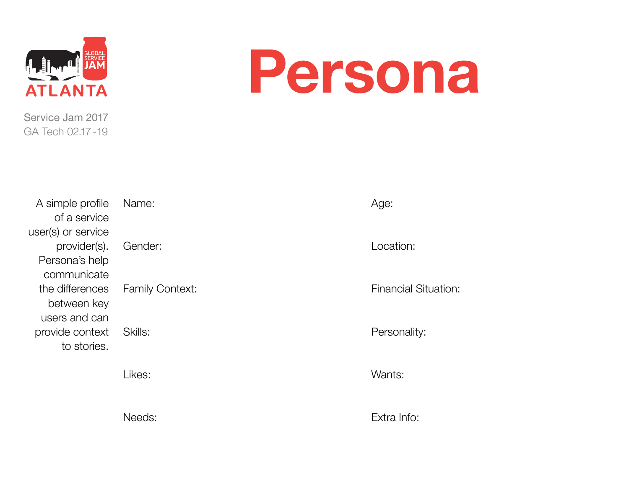

#### Persona

| A simple profile   | Name:   |
|--------------------|---------|
| of a service       |         |
| user(s) or service |         |
| provider(s).       | Gende   |
| Persona's help     |         |
| communicate        |         |
| the differences    | Family  |
| between key        |         |
| users and can      |         |
| provide context    | Skills: |
| to stories.        |         |
|                    |         |

ender: amily Context:  $\ddot{\text{d}}$ ls:

Likes:

Needs:

Age:

Location:

Financial Situation:

Personality:

Wants:

Extra Info: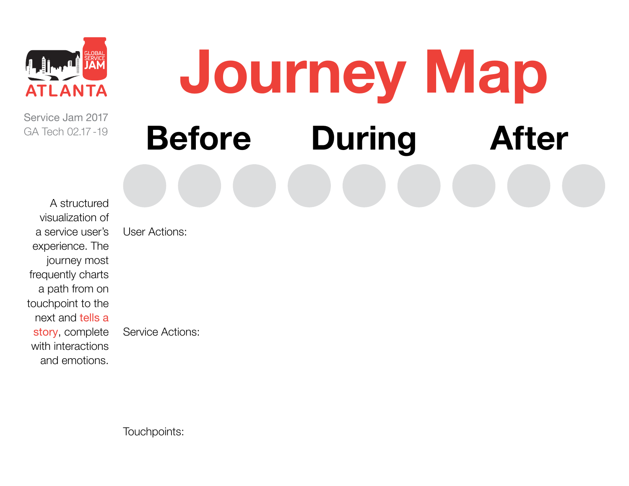

#### Journey Map Before During After

A structured visualization of a service user's experience. The journey most frequently charts a path from on touchpoint to the next and tells a story, complete with interactions and emotions.

User Actions:

Service Actions: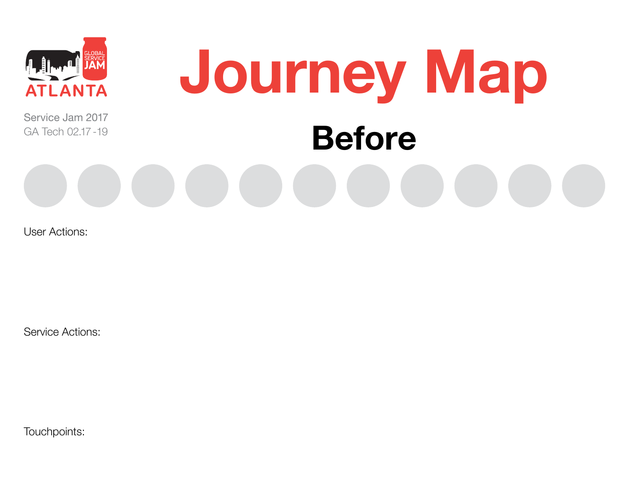

### Journey Map Before

User Actions:

Service Actions: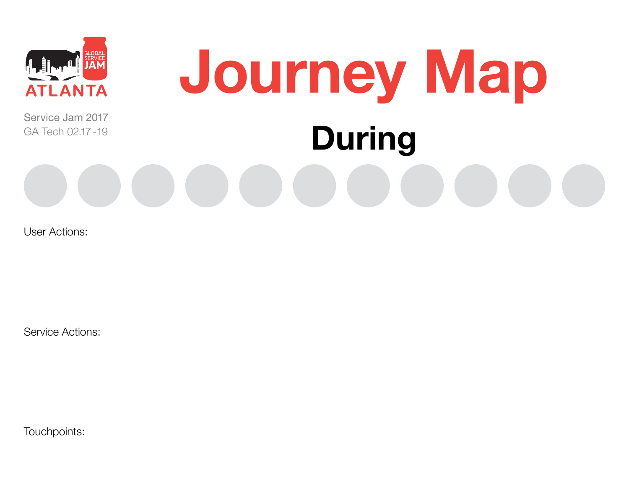

# Journey Map During

User Actions:

Service Actions: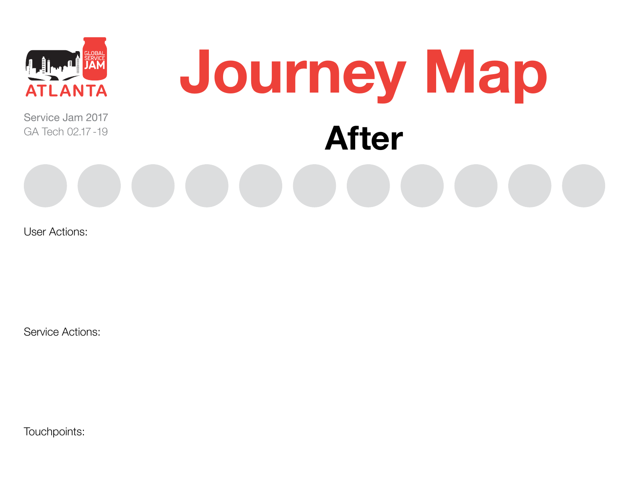

#### Journey Map After

User Actions:

Service Actions: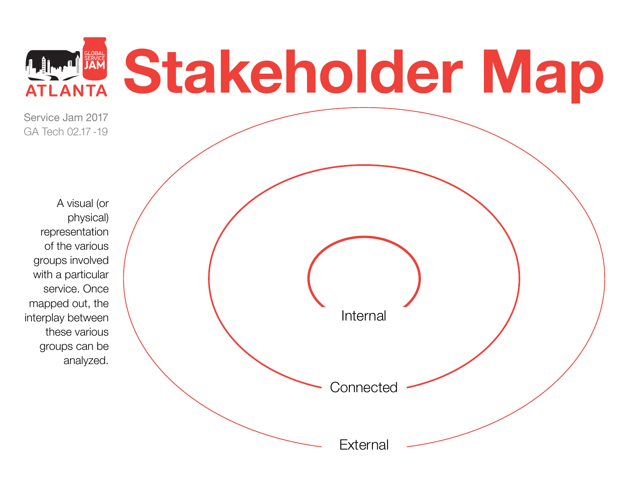